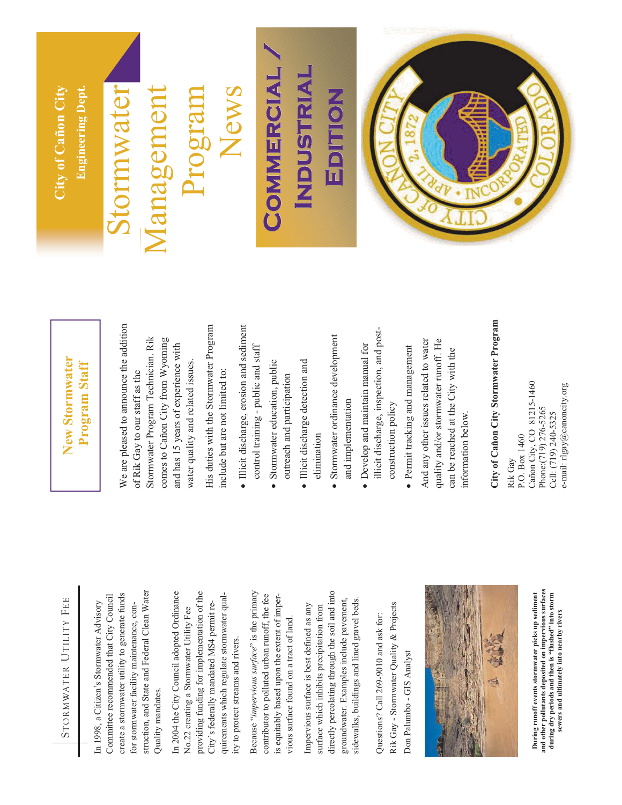

struction, and State and Federal Clean Water struction, and State and Federal Clean Water create a stormwater utility to generate funds Committee recommended that City Council create a stormwater utility to generate funds Committee recommended that City Council In 1998, a Citizen's Stormwater Advisory In 1998, a Citizen's Stormwater Advisory for stormwater facility maintenance, confor stormwater facility maintenance, con-Quality mandates. Quality mandates.

In 2004 the City Council adopted Ordinance providing funding for implementation of the providing funding for implementation of the In 2004 the City Council adopted Ordinance quirements which regulate stormwater qualquirements which regulate stormwater qual-City's federally mandated MS4 permit re-City's federally mandated MS4 permit re-No.22 creating a Stormwater Utility Fee No.22 creating a Stormwater Utility Fee ity to protect streams and rivers. ity to protect streams and rivers.

Because "*impervious surface*" is the primary Because "impervious surface" is the primary contributor to polluted urban runoff, the fee contributor to polluted urban runoff, the fee is equitably based upon the extent of imperis equitably based upon the extent of impervious surface found on a tract of land. vious surface found on a tract of land.

directly percolating through the soil and into directly percolating through the soil and into sidewalks, buildings and lined gravel beds. groundwater. Examples include pavement, groundwater. Examples include pavement, sidewalks, buildings and lined gravel beds. Impervious surface is best defined as any Impervious surface is best defined as any surface which inhibits precipitation from surface which inhibits precipitation from

Rik Gay - Stormwater Quality & Projects Rik Gay - Stormwater Quality & Projects Questions? Call 269-9010 and ask for: Questions? Call 269-9010 and ask for: Don Palumbo - GIS Analyst Don Palumbo - GIS Analyst



and other pollutants deposited on impervious surfaces<br>during dry periods and then is "flushed" into storm **and other pollutants deposited on impervious surfaces**  During runoff events stormwater picks up sediment **During runoff events stormwater picks up sediment during dry periods and then is "flushed" into storm**  sewers and ultimately into nearby rivers **sewers and ultimately into nearby rivers** 

#### **New Stormwater New Stormwater Program Staff**  Program Staff

We are pleased to announce the addition We are pleased to announce the addition Stormwater Program Technician. Rik Stormwater Program Technician. Rik comes to Cañon City from Wyoming comes to Cañon City from Wyoming and has 15 years of experience with and has 15 years of experience with water quality and related issues. water quality and related issues. of Rik Gay to our staff as the of Rik Gay to our staff as the

His duties with the Stormwater Program His duties with the Stormwater Program include but are not limited to: include but are not limited to:

- Illicit discharge, erosion and sediment control training - public and staff control training - public and staff  $\bullet$
- Stormwater education, public Stormwater education, public outreach and participation outreach and participation  $\bullet$ 
	- · Illicit discharge detection and Illicit discharge detection and elimination elimination
- Stormwater ordinance development Stormwater ordinance development and implementation and implementation  $\bullet$
- illicit discharge, inspection, and postillicit discharge, inspection, and post- Develop and maintain manual for • Develop and maintain manual for construction policy construction policy
- · Permit tracking and management Permit tracking and management

And any other issues related to water And any other issues related to water quality and/or stormwater runoff. He quality and/or stormwater runoff. He can be reached at the City with the can be reached at the City with the information below. nformation below.

# **City of Cañon City Stormwater Program**  City of Cañon City Stormwater Program

Cañon City, CO 81215-1460 Cañon City, CO 81215-1460 e-mail: rlgay@canoncity.org e-mail: rlgay@canoncity.org Phone:(719) 276-5265 Phone:(719) 276-5265 Cell: (719) 240-5325 Cell: (719) 240-5325 Rik Gay<br>P.O. Box 1460 P.O. Box 1460

#### **City of Cañon City**  City of Cañon City **Engineering Dept. Engineering Dept**

## Stormwater printik

### Management News Management Program

#### **Co m m e r c i a** COMMERCIAL/ **om e ci a a** COMMERCIAL/ **In d u s t r i a INDUSTRIAL dus t ri a** NDUSTRIAL **Ed i t i o n Ed i t i o NGILION ton**